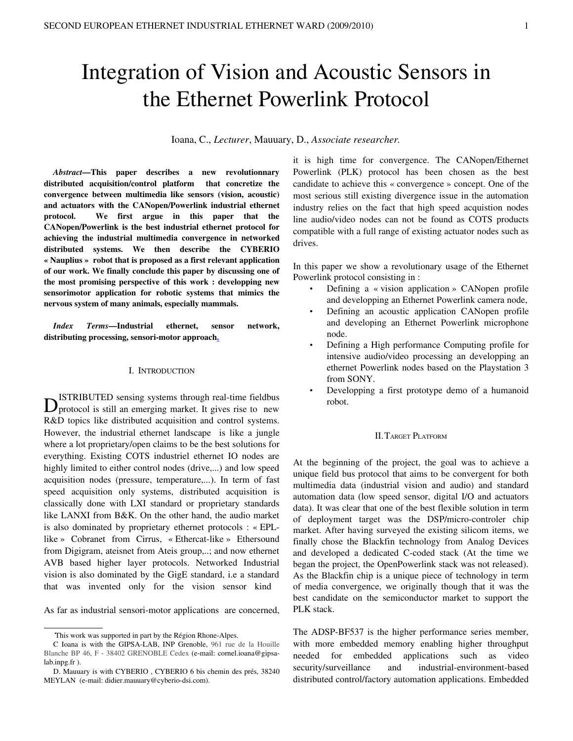# Integration of Vision and Acoustic Sensors in the Ethernet Powerlink Protocol

Ioana, C., *Lecturer*, Mauuary, D., *Associate researcher.*

*Abstract*—This paper describes a new revolutionnary distributed acquisition/control platform that concretize the convergence between multimedia like sensors (vision, acoustic) and actuators with the CANopen/Powerlink industrial ethernet protocol. We first argue in this paper that the CANopen/Powerlink is the best industrial ethernet protocol for achieving the industrial multimedia convergence in networked distributed systems. We then describe the CYBERIO « Nauplius » robot that is proposed as a first relevant application of our work. We finally conclude this paper by discussing one of the most promising perspective of this work : developping new sensorimotor application for robotic systems that mimics the nervous system of many animals, especially mammals.

*Index Terms*—Industrial ethernet, sensor network, distributing processing, sensori-motor approac[h.](http://www.ieee.org/organizations/pubs/ani_prod/keywrd98.txt)

# I. INTRODUCTION

ISTRIBUTED sensing systems through real-time fieldbus  $D<sub>protocol</sub>$  is still an emerging market. It gives rise to new R&D topics like distributed acquisition and control systems. However, the industrial ethernet landscape is like a jungle where a lot proprietary/open claims to be the best solutions for everything. Existing COTS industriel ethernet IO nodes are highly limited to either control nodes (drive,...) and low speed acquisition nodes (pressure, temperature,...). In term of fast speed acquisition only systems, distributed acquisition is classically done with LXI standard or proprietary standards like LANXI from B&K. On the other hand, the audio market is also dominated by proprietary ethernet protocols : « EPLlike » Cobranet from Cirrus, « Ethercat-like » Ethersound from Digigram, ateisnet from Ateis group,..; and now ethernet AVB based higher layer protocols. Networked Industrial vision is also dominated by the GigE standard, i.e a standard that was invented only for the vision sensor kind

As far as industrial sensori-motor applications are concerned,

it is high time for convergence. The CANopen/Ethernet Powerlink (PLK) protocol has been chosen as the best candidate to achieve this « convergence » concept. One of the most serious still existing divergence issue in the automation industry relies on the fact that high speed acquistion nodes line audio/video nodes can not be found as COTS products compatible with a full range of existing actuator nodes such as drives.

In this paper we show a revolutionary usage of the Ethernet Powerlink protocol consisting in :

- Defining a « vision application » CANopen profile and developping an Ethernet Powerlink camera node,
- Defining an acoustic application CANopen profile and developing an Ethernet Powerlink microphone node.
- Defining a High performance Computing profile for intensive audio/video processing an developping an ethernet Powerlink nodes based on the Playstation 3 from SONY.
- Developping a first prototype demo of a humanoid robot.

#### II.TARGET PLATFORM

At the beginning of the project, the goal was to achieve a unique field bus protocol that aims to be convergent for both multimedia data (industrial vision and audio) and standard automation data (low speed sensor, digital I/O and actuators data). It was clear that one of the best flexible solution in term of deployment target was the DSP/micro-controler chip market. After having surveyed the existing silicom items, we finally chose the Blackfin technology from Analog Devices and developed a dedicated C-coded stack (At the time we began the project, the OpenPowerlink stack was not released). As the Blackfin chip is a unique piece of technology in term of media convergence, we originally though that it was the best candidate on the semiconductor market to support the PLK stack.

The ADSP-BF537 is the higher performance series member, with more embedded memory enabling higher throughput needed for embedded applications such as video security/surveillance and industrial-environment-based distributed control/factory automation applications. Embedded

This work was supported in part by the Région Rhone-Alpes.

C Ioana is with the GIPSALAB, INP Grenoble, 961 rue de la Houille Blanche BP 46, F - 38402 GRENOBLE Cedex (e-mail: cornel.ioana@gipsalab.inpg.fr ).

D. Mauuary is with CYBERIO , CYBERIO 6 bis chemin des prés, 38240 MEYLAN (e-mail: didier.mauuary@cyberio-dsi.com).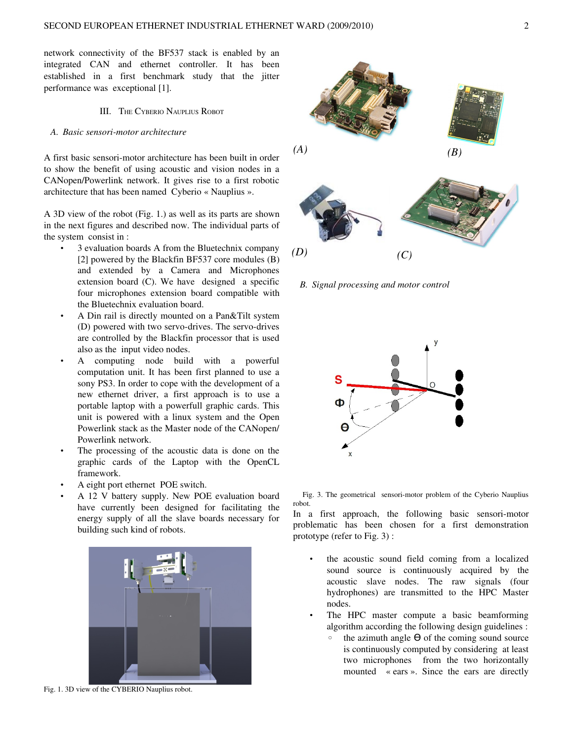network connectivity of the BF537 stack is enabled by an integrated CAN and ethernet controller. It has been established in a first benchmark study that the jitter performance was exceptional [1].

# III. THE CYBERIO NAUPLIUS ROBOT

# *A. Basic sensorimotor architecture*

A first basic sensori-motor architecture has been built in order to show the benefit of using acoustic and vision nodes in a CANopen/Powerlink network. It gives rise to a first robotic architecture that has been named Cyberio « Nauplius ».

A 3D view of the robot (Fig. 1.) as well as its parts are shown in the next figures and described now. The individual parts of the system consist in :

- 3 evaluation boards A from the Bluetechnix company [2] powered by the Blackfin BF537 core modules (B) and extended by a Camera and Microphones extension board (C). We have designed a specific four microphones extension board compatible with the Bluetechnix evaluation board.
- A Din rail is directly mounted on a Pan&Tilt system (D) powered with two servo-drives. The servo-drives are controlled by the Blackfin processor that is used also as the input video nodes.
- A computing node build with a powerful computation unit. It has been first planned to use a sony PS3. In order to cope with the development of a new ethernet driver, a first approach is to use a portable laptop with a powerfull graphic cards. This unit is powered with a linux system and the Open Powerlink stack as the Master node of the CANopen/ Powerlink network.
- The processing of the acoustic data is done on the graphic cards of the Laptop with the OpenCL framework.
- A eight port ethernet POE switch.
- A 12 V battery supply. New POE evaluation board have currently been designed for facilitating the energy supply of all the slave boards necessary for building such kind of robots.



Fig. 1. 3D view of the CYBERIO Nauplius robot.



*B. Signal processing and motor control*



Fig. 3. The geometrical sensori-motor problem of the Cyberio Nauplius robot.

In a first approach, the following basic sensori-motor problematic has been chosen for a first demonstration prototype (refer to Fig. 3) :

- the acoustic sound field coming from a localized sound source is continuously acquired by the acoustic slave nodes. The raw signals (four hydrophones) are transmitted to the HPC Master nodes.
- The HPC master compute a basic beamforming algorithm according the following design guidelines :
	- the azimuth angle  $\Theta$  of the coming sound source is continuously computed by considering at least two microphones from the two horizontally mounted « ears ». Since the ears are directly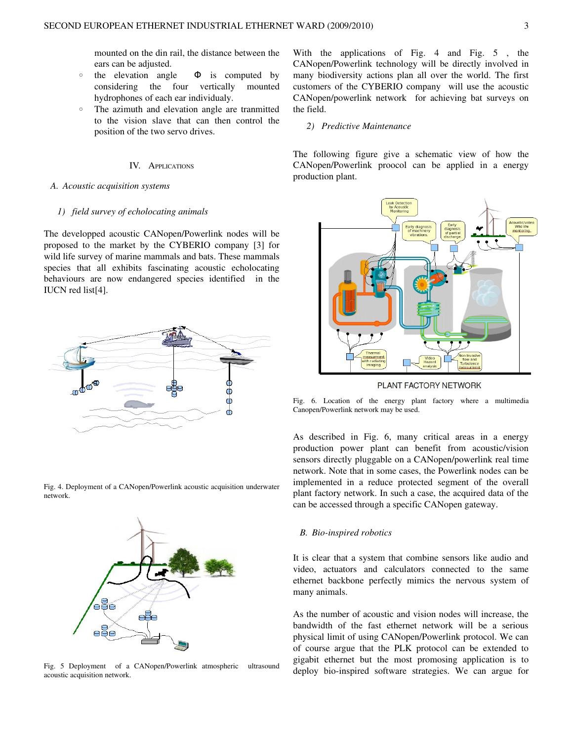mounted on the din rail, the distance between the ears can be adjusted.

- $\circ$  the elevation angle  $\Phi$  is computed by considering the four vertically mounted hydrophones of each ear individualy.
- The azimuth and elevation angle are tranmitted to the vision slave that can then control the position of the two servo drives.

### IV. APPLICATIONS

#### *A. Acoustic acquisition systems*

# *1) field survey of echolocating animals*

The developped acoustic CANopen/Powerlink nodes will be proposed to the market by the CYBERIO company [3] for wild life survey of marine mammals and bats. These mammals species that all exhibits fascinating acoustic echolocating behaviours are now endangered species identified in the IUCN red list[4].



Fig. 4. Deployment of a CANopen/Powerlink acoustic acquisition underwater network.



Fig. 5 Deployment of a CANopen/Powerlink atmospheric ultrasound acoustic acquisition network.

With the applications of Fig.  $4$  and Fig.  $5$ , the CANopen/Powerlink technology will be directly involved in many biodiversity actions plan all over the world. The first customers of the CYBERIO company will use the acoustic CANopen/powerlink network for achieving bat surveys on the field.

### *2) Predictive Maintenance*

The following figure give a schematic view of how the CANopen/Powerlink proocol can be applied in a energy production plant.



PLANT FACTORY NETWORK

Fig. 6. Location of the energy plant factory where a multimedia Canopen/Powerlink network may be used.

As described in Fig. 6, many critical areas in a energy production power plant can benefit from acoustic/vision sensors directly pluggable on a CANopen/powerlink real time network. Note that in some cases, the Powerlink nodes can be implemented in a reduce protected segment of the overall plant factory network. In such a case, the acquired data of the can be accessed through a specific CANopen gateway.

#### *B. Bio-inspired robotics*

It is clear that a system that combine sensors like audio and video, actuators and calculators connected to the same ethernet backbone perfectly mimics the nervous system of many animals.

As the number of acoustic and vision nodes will increase, the bandwidth of the fast ethernet network will be a serious physical limit of using CANopen/Powerlink protocol. We can of course argue that the PLK protocol can be extended to gigabit ethernet but the most promosing application is to deploy bio-inspired software strategies. We can argue for